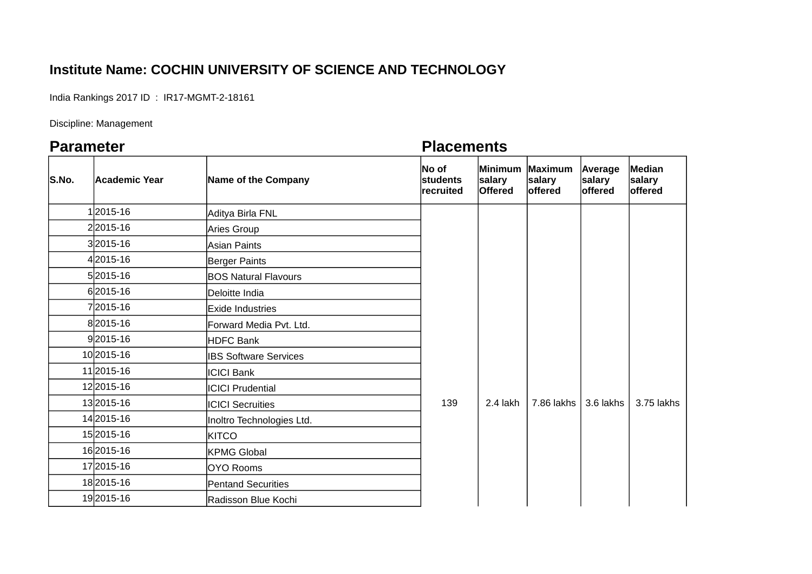## **Institute Name: COCHIN UNIVERSITY OF SCIENCE AND TECHNOLOGY**

India Rankings 2017 ID : IR17-MGMT-2-18161

Discipline: Management

## **Parameter Parameter Placements**

| S.No. | <b>Academic Year</b> | Name of the Company          | No of<br>students<br>recruited | salary<br><b>Offered</b> | Minimum Maximum<br>salary<br><b>offered</b> | Average<br>salary<br>offered | Median<br>salary<br>offered |
|-------|----------------------|------------------------------|--------------------------------|--------------------------|---------------------------------------------|------------------------------|-----------------------------|
|       | 12015-16             | Aditya Birla FNL             |                                |                          |                                             |                              |                             |
|       | 22015-16             | <b>Aries Group</b>           |                                |                          |                                             |                              |                             |
|       | 32015-16             | <b>Asian Paints</b>          |                                |                          |                                             |                              |                             |
|       | 42015-16             | Berger Paints                |                                |                          |                                             |                              |                             |
|       | 52015-16             | <b>BOS Natural Flavours</b>  |                                |                          |                                             |                              |                             |
|       | 62015-16             | Deloitte India               |                                |                          |                                             |                              |                             |
|       | 72015-16             | <b>IExide Industries</b>     |                                |                          |                                             |                              |                             |
|       | 82015-16             | Forward Media Pvt. Ltd.      |                                |                          |                                             |                              |                             |
|       | 92015-16             | <b>HDFC Bank</b>             |                                |                          |                                             |                              |                             |
|       | 10 2015-16           | <b>IBS Software Services</b> |                                |                          |                                             |                              |                             |
|       | 11 2015-16           | <b>ICICI Bank</b>            |                                |                          |                                             |                              |                             |
|       | 12 2015-16           | <b>ICICI Prudential</b>      |                                |                          |                                             |                              |                             |
|       | 13 2015-16           | <b>ICICI Secruities</b>      | 139                            | 2.4 lakh                 | 7.86 lakhs                                  | 3.6 lakhs                    | 3.75 lakhs                  |
|       | 14 2015-16           | Inoltro Technologies Ltd.    |                                |                          |                                             |                              |                             |
|       | 15 2015-16           | <b>KITCO</b>                 |                                |                          |                                             |                              |                             |
|       | 16 2015-16           | <b>KPMG Global</b>           |                                |                          |                                             |                              |                             |
|       | 17 2015-16           | OYO Rooms                    |                                |                          |                                             |                              |                             |
|       | 18 2015-16           | <b>Pentand Securities</b>    |                                |                          |                                             |                              |                             |
|       | 192015-16            | Radisson Blue Kochi          |                                |                          |                                             |                              |                             |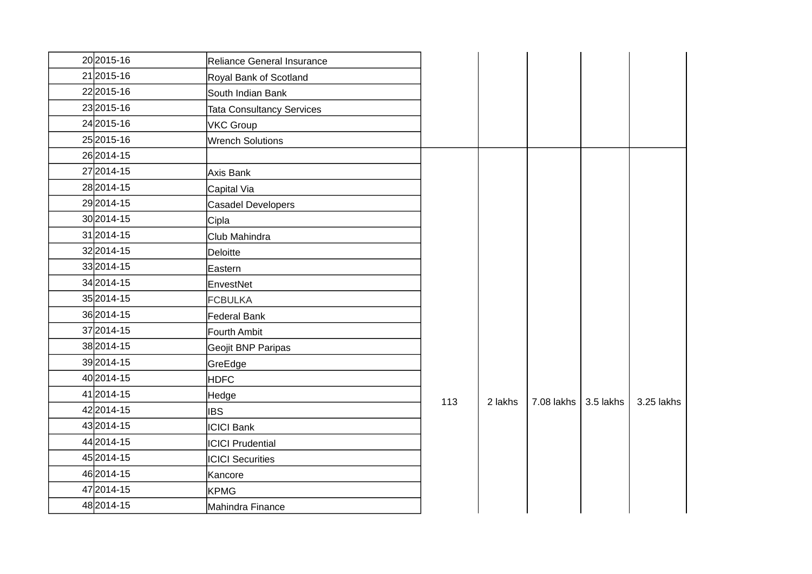| 20 2015-16   | Reliance General Insurance       |     |         |            |           |            |
|--------------|----------------------------------|-----|---------|------------|-----------|------------|
| 21 2015-16   | Royal Bank of Scotland           |     |         |            |           |            |
| 222015-16    | South Indian Bank                |     |         |            |           |            |
| 23 2015-16   | <b>Tata Consultancy Services</b> |     |         |            |           |            |
| 24 2015-16   | <b>VKC Group</b>                 |     |         |            |           |            |
| 25 2015-16   | <b>Wrench Solutions</b>          |     |         |            |           |            |
| 26 2014-15   |                                  |     |         |            |           |            |
| 27 2014-15   | Axis Bank                        |     | 2 lakhs | 7.08 lakhs | 3.5 lakhs |            |
| 28 2014-15   | Capital Via                      |     |         |            |           |            |
| 292014-15    | Casadel Developers               |     |         |            |           |            |
| 30 2014-15   | Cipla                            |     |         |            |           |            |
| 31 2014-15   | Club Mahindra                    |     |         |            |           |            |
| 32 2014-15   | Deloitte                         |     |         |            |           |            |
| 332014-15    | Eastern                          |     |         |            |           |            |
| 34 2014-15   | EnvestNet                        |     |         |            |           |            |
| 35 2014-15   | <b>FCBULKA</b>                   |     |         |            |           |            |
| 36 2014-15   | <b>Federal Bank</b>              |     |         |            |           |            |
| 37 2014-15   | Fourth Ambit                     |     |         |            |           |            |
| 38 2014-15   | Geojit BNP Paripas               |     |         |            |           |            |
| 392014-15    | GreEdge                          |     |         |            |           |            |
| 40 2014-15   | <b>HDFC</b>                      |     |         |            |           |            |
| 41 2014 - 15 | Hedge                            | 113 |         |            |           | 3.25 lakhs |
| 422014-15    | <b>IBS</b>                       |     |         |            |           |            |
| 43 2014 - 15 | <b>ICICI Bank</b>                |     |         |            |           |            |
| 44 2014-15   | <b>ICICI Prudential</b>          |     |         |            |           |            |
| 45 2014-15   | <b>ICICI Securities</b>          |     |         |            |           |            |
| 46 2014-15   | Kancore                          |     |         |            |           |            |
| 47 2014-15   | <b>KPMG</b>                      |     |         |            |           |            |
| 48 2014-15   | Mahindra Finance                 |     |         |            |           |            |